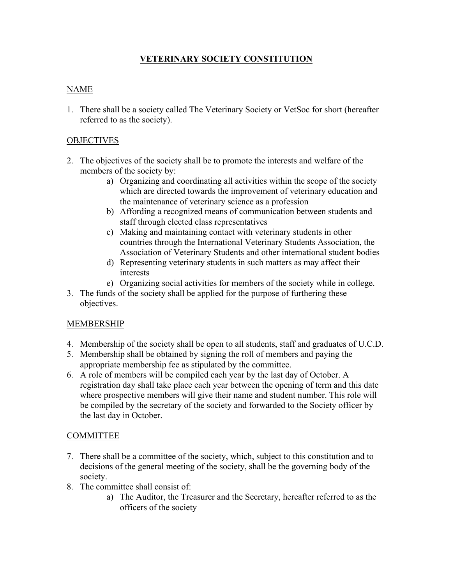### **VETERINARY SOCIETY CONSTITUTION**

# NAME

1. There shall be a society called The Veterinary Society or VetSoc for short (hereafter referred to as the society).

## **OBJECTIVES**

- 2. The objectives of the society shall be to promote the interests and welfare of the members of the society by:
	- a) Organizing and coordinating all activities within the scope of the society which are directed towards the improvement of veterinary education and the maintenance of veterinary science as a profession
	- b) Affording a recognized means of communication between students and staff through elected class representatives
	- c) Making and maintaining contact with veterinary students in other countries through the International Veterinary Students Association, the Association of Veterinary Students and other international student bodies
	- d) Representing veterinary students in such matters as may affect their interests
	- e) Organizing social activities for members of the society while in college.
- 3. The funds of the society shall be applied for the purpose of furthering these objectives.

### MEMBERSHIP

- 4. Membership of the society shall be open to all students, staff and graduates of U.C.D.
- 5. Membership shall be obtained by signing the roll of members and paying the appropriate membership fee as stipulated by the committee.
- 6. A role of members will be compiled each year by the last day of October. A registration day shall take place each year between the opening of term and this date where prospective members will give their name and student number. This role will be compiled by the secretary of the society and forwarded to the Society officer by the last day in October.

### **COMMITTEE**

- 7. There shall be a committee of the society, which, subject to this constitution and to decisions of the general meeting of the society, shall be the governing body of the society.
- 8. The committee shall consist of:
	- a) The Auditor, the Treasurer and the Secretary, hereafter referred to as the officers of the society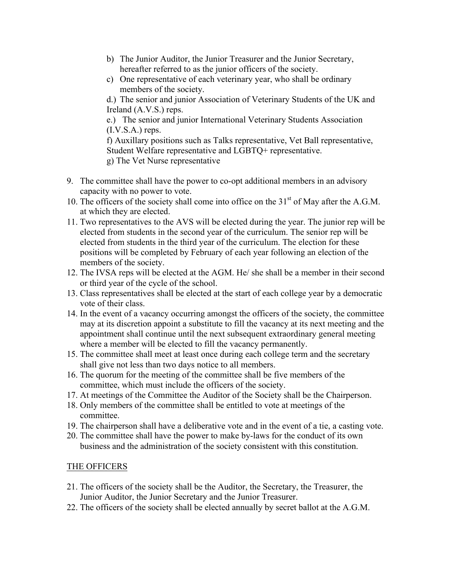- b) The Junior Auditor, the Junior Treasurer and the Junior Secretary, hereafter referred to as the junior officers of the society.
- c) One representative of each veterinary year, who shall be ordinary members of the society.

d.) The senior and junior Association of Veterinary Students of the UK and Ireland (A.V.S.) reps.

e.) The senior and junior International Veterinary Students Association  $(I.V.S.A.)$  reps.

f) Auxillary positions such as Talks representative, Vet Ball representative, Student Welfare representative and LGBTQ+ representative. g) The Vet Nurse representative

- 9. The committee shall have the power to co-opt additional members in an advisory capacity with no power to vote.
- 10. The officers of the society shall come into office on the  $31<sup>st</sup>$  of May after the A.G.M. at which they are elected.
- 11. Two representatives to the AVS will be elected during the year. The junior rep will be elected from students in the second year of the curriculum. The senior rep will be elected from students in the third year of the curriculum. The election for these positions will be completed by February of each year following an election of the members of the society.
- 12. The IVSA reps will be elected at the AGM. He/ she shall be a member in their second or third year of the cycle of the school.
- 13. Class representatives shall be elected at the start of each college year by a democratic vote of their class.
- 14. In the event of a vacancy occurring amongst the officers of the society, the committee may at its discretion appoint a substitute to fill the vacancy at its next meeting and the appointment shall continue until the next subsequent extraordinary general meeting where a member will be elected to fill the vacancy permanently.
- 15. The committee shall meet at least once during each college term and the secretary shall give not less than two days notice to all members.
- 16. The quorum for the meeting of the committee shall be five members of the committee, which must include the officers of the society.
- 17. At meetings of the Committee the Auditor of the Society shall be the Chairperson.
- 18. Only members of the committee shall be entitled to vote at meetings of the committee.
- 19. The chairperson shall have a deliberative vote and in the event of a tie, a casting vote.
- 20. The committee shall have the power to make by-laws for the conduct of its own business and the administration of the society consistent with this constitution.

### THE OFFICERS

- 21. The officers of the society shall be the Auditor, the Secretary, the Treasurer, the Junior Auditor, the Junior Secretary and the Junior Treasurer.
- 22. The officers of the society shall be elected annually by secret ballot at the A.G.M.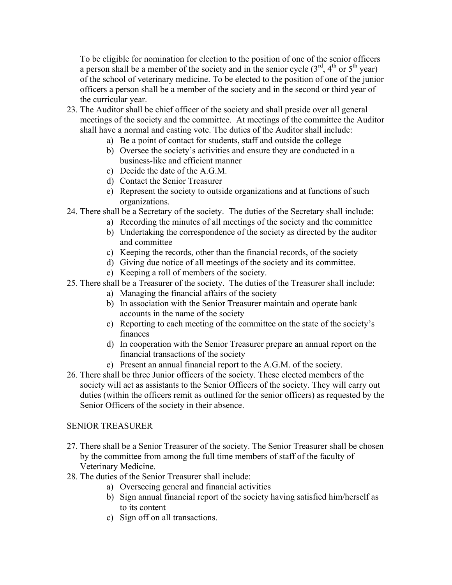To be eligible for nomination for election to the position of one of the senior officers a person shall be a member of the society and in the senior cycle  $(3<sup>rd</sup>, 4<sup>th</sup>$  or  $5<sup>th</sup>$  year) of the school of veterinary medicine. To be elected to the position of one of the junior officers a person shall be a member of the society and in the second or third year of the curricular year.

- 23. The Auditor shall be chief officer of the society and shall preside over all general meetings of the society and the committee. At meetings of the committee the Auditor shall have a normal and casting vote. The duties of the Auditor shall include:
	- a) Be a point of contact for students, staff and outside the college
	- b) Oversee the society's activities and ensure they are conducted in a business-like and efficient manner
	- c) Decide the date of the A.G.M.
	- d) Contact the Senior Treasurer
	- e) Represent the society to outside organizations and at functions of such organizations.
- 24. There shall be a Secretary of the society. The duties of the Secretary shall include:
	- a) Recording the minutes of all meetings of the society and the committee
	- b) Undertaking the correspondence of the society as directed by the auditor and committee
	- c) Keeping the records, other than the financial records, of the society
	- d) Giving due notice of all meetings of the society and its committee.
	- e) Keeping a roll of members of the society.
- 25. There shall be a Treasurer of the society. The duties of the Treasurer shall include:
	- a) Managing the financial affairs of the society
	- b) In association with the Senior Treasurer maintain and operate bank accounts in the name of the society
	- c) Reporting to each meeting of the committee on the state of the society's finances
	- d) In cooperation with the Senior Treasurer prepare an annual report on the financial transactions of the society
	- e) Present an annual financial report to the A.G.M. of the society.
- 26. There shall be three Junior officers of the society. These elected members of the society will act as assistants to the Senior Officers of the society. They will carry out duties (within the officers remit as outlined for the senior officers) as requested by the Senior Officers of the society in their absence.

#### SENIOR TREASURER

- 27. There shall be a Senior Treasurer of the society. The Senior Treasurer shall be chosen by the committee from among the full time members of staff of the faculty of Veterinary Medicine.
- 28. The duties of the Senior Treasurer shall include:
	- a) Overseeing general and financial activities
	- b) Sign annual financial report of the society having satisfied him/herself as to its content
	- c) Sign off on all transactions.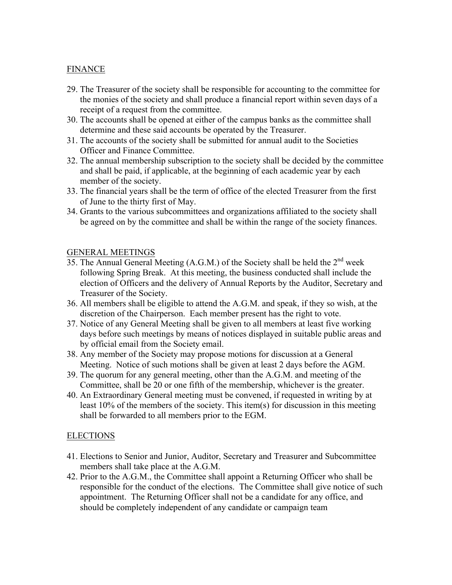### **FINANCE**

- 29. The Treasurer of the society shall be responsible for accounting to the committee for the monies of the society and shall produce a financial report within seven days of a receipt of a request from the committee.
- 30. The accounts shall be opened at either of the campus banks as the committee shall determine and these said accounts be operated by the Treasurer.
- 31. The accounts of the society shall be submitted for annual audit to the Societies Officer and Finance Committee.
- 32. The annual membership subscription to the society shall be decided by the committee and shall be paid, if applicable, at the beginning of each academic year by each member of the society.
- 33. The financial years shall be the term of office of the elected Treasurer from the first of June to the thirty first of May.
- 34. Grants to the various subcommittees and organizations affiliated to the society shall be agreed on by the committee and shall be within the range of the society finances.

#### GENERAL MEETINGS

- 35. The Annual General Meeting  $(A, G, M)$  of the Society shall be held the  $2<sup>nd</sup>$  week following Spring Break. At this meeting, the business conducted shall include the election of Officers and the delivery of Annual Reports by the Auditor, Secretary and Treasurer of the Society.
- 36. All members shall be eligible to attend the A.G.M. and speak, if they so wish, at the discretion of the Chairperson. Each member present has the right to vote.
- 37. Notice of any General Meeting shall be given to all members at least five working days before such meetings by means of notices displayed in suitable public areas and by official email from the Society email.
- 38. Any member of the Society may propose motions for discussion at a General Meeting. Notice of such motions shall be given at least 2 days before the AGM.
- 39. The quorum for any general meeting, other than the A.G.M. and meeting of the Committee, shall be 20 or one fifth of the membership, whichever is the greater.
- 40. An Extraordinary General meeting must be convened, if requested in writing by at least 10% of the members of the society. This item(s) for discussion in this meeting shall be forwarded to all members prior to the EGM.

#### ELECTIONS

- 41. Elections to Senior and Junior, Auditor, Secretary and Treasurer and Subcommittee members shall take place at the A.G.M.
- 42. Prior to the A.G.M., the Committee shall appoint a Returning Officer who shall be responsible for the conduct of the elections. The Committee shall give notice of such appointment. The Returning Officer shall not be a candidate for any office, and should be completely independent of any candidate or campaign team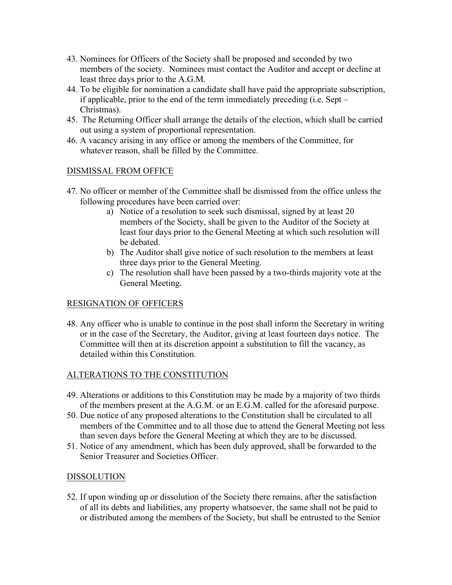- 43. Nominees for Officers of the Society shall be proposed and seconded by two members of the society. Nominees must contact the Auditor and accept or decline at least three days prior to the A.G.M.
- 44. To be eligible for nomination a candidate shall have paid the appropriate subscription, if applicable, prior to the end of the term immediately preceding (i.e. Sept – Christmas).
- 45. The Returning Officer shall arrange the details of the election, which shall be carried out using a system of proportional representation.
- 46. A vacancy arising in any office or among the members of the Committee, for whatever reason, shall be filled by the Committee.

#### DISMISSAL FROM OFFICE

- 47. No officer or member of the Committee shall be dismissed from the office unless the following procedures have been carried over:
	- a) Notice of a resolution to seek such dismissal, signed by at least 20 members of the Society, shall be given to the Auditor of the Society at least four days prior to the General Meeting at which such resolution will be debated.
	- b) The Auditor shall give notice of such resolution to the members at least three days prior to the General Meeting.
	- c) The resolution shall have been passed by a two-thirds majority vote at the General Meeting.

### RESIGNATION OF OFFICERS

48. Any officer who is unable to continue in the post shall inform the Secretary in writing or in the case of the Secretary, the Auditor, giving at least fourteen days notice. The Committee will then at its discretion appoint a substitution to fill the vacancy, as detailed within this Constitution.

### ALTERATIONS TO THE CONSTITUTION

- 49. Alterations or additions to this Constitution may be made by a majority of two thirds of the members present at the A.G.M. or an E.G.M. called for the aforesaid purpose.
- 50. Due notice of any proposed alterations to the Constitution shall be circulated to all members of the Committee and to all those due to attend the General Meeting not less than seven days before the General Meeting at which they are to be discussed.
- 51. Notice of any amendment, which has been duly approved, shall be forwarded to the Senior Treasurer and Societies Officer.

#### DISSOLUTION

52. If upon winding up or dissolution of the Society there remains, after the satisfaction of all its debts and liabilities, any property whatsoever, the same shall not be paid to or distributed among the members of the Society, but shall be entrusted to the Senior